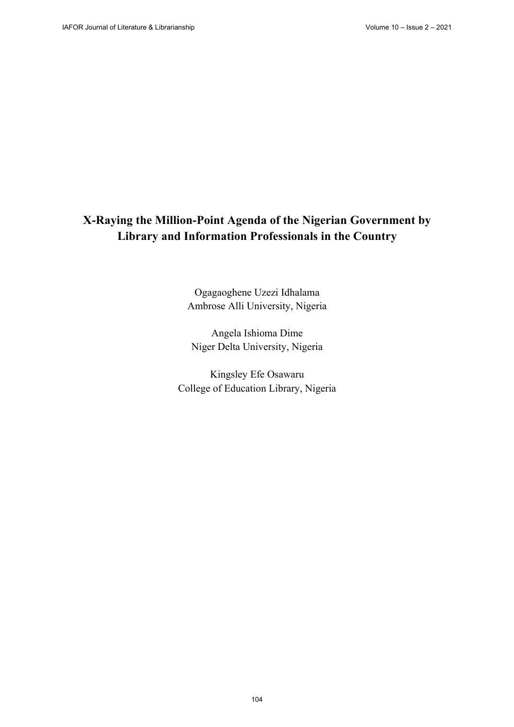# **X-Raying the Million-Point Agenda of the Nigerian Government by Library and Information Professionals in the Country**

Ogagaoghene Uzezi Idhalama Ambrose Alli University, Nigeria

Angela Ishioma Dime Niger Delta University, Nigeria

Kingsley Efe Osawaru College of Education Library, Nigeria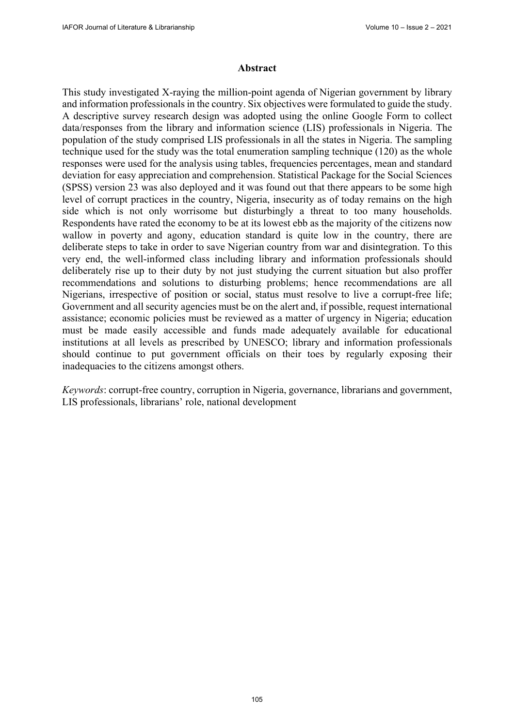#### **Abstract**

This study investigated X-raying the million-point agenda of Nigerian government by library and information professionals in the country. Six objectives were formulated to guide the study. A descriptive survey research design was adopted using the online Google Form to collect data/responses from the library and information science (LIS) professionals in Nigeria. The population of the study comprised LIS professionals in all the states in Nigeria. The sampling technique used for the study was the total enumeration sampling technique (120) as the whole responses were used for the analysis using tables, frequencies percentages, mean and standard deviation for easy appreciation and comprehension. Statistical Package for the Social Sciences (SPSS) version 23 was also deployed and it was found out that there appears to be some high level of corrupt practices in the country, Nigeria, insecurity as of today remains on the high side which is not only worrisome but disturbingly a threat to too many households. Respondents have rated the economy to be at its lowest ebb as the majority of the citizens now wallow in poverty and agony, education standard is quite low in the country, there are deliberate steps to take in order to save Nigerian country from war and disintegration. To this very end, the well-informed class including library and information professionals should deliberately rise up to their duty by not just studying the current situation but also proffer recommendations and solutions to disturbing problems; hence recommendations are all Nigerians, irrespective of position or social, status must resolve to live a corrupt-free life; Government and all security agencies must be on the alert and, if possible, request international assistance; economic policies must be reviewed as a matter of urgency in Nigeria; education must be made easily accessible and funds made adequately available for educational institutions at all levels as prescribed by UNESCO; library and information professionals should continue to put government officials on their toes by regularly exposing their inadequacies to the citizens amongst others.

*Keywords*: corrupt-free country, corruption in Nigeria, governance, librarians and government, LIS professionals, librarians' role, national development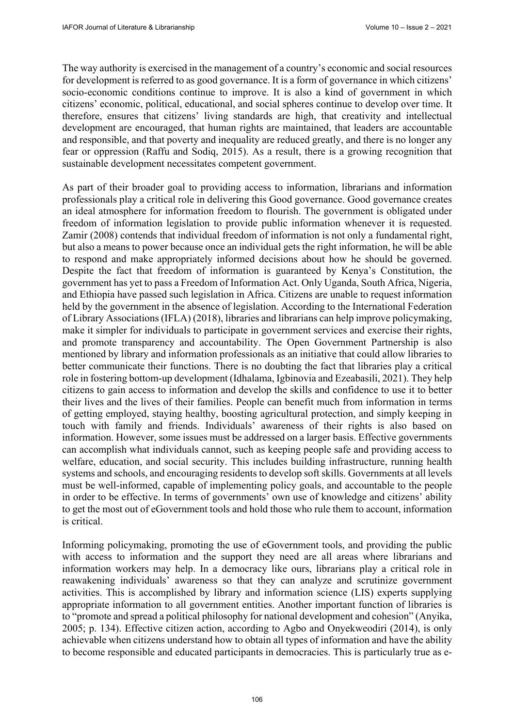The way authority is exercised in the management of a country's economic and social resources for development is referred to as good governance. It is a form of governance in which citizens' socio-economic conditions continue to improve. It is also a kind of government in which citizens' economic, political, educational, and social spheres continue to develop over time. It therefore, ensures that citizens' living standards are high, that creativity and intellectual development are encouraged, that human rights are maintained, that leaders are accountable and responsible, and that poverty and inequality are reduced greatly, and there is no longer any fear or oppression (Raffu and Sodiq, 2015). As a result, there is a growing recognition that sustainable development necessitates competent government.

As part of their broader goal to providing access to information, librarians and information professionals play a critical role in delivering this Good governance. Good governance creates an ideal atmosphere for information freedom to flourish. The government is obligated under freedom of information legislation to provide public information whenever it is requested. Zamir (2008) contends that individual freedom of information is not only a fundamental right, but also a means to power because once an individual gets the right information, he will be able to respond and make appropriately informed decisions about how he should be governed. Despite the fact that freedom of information is guaranteed by Kenya's Constitution, the government has yet to pass a Freedom of Information Act. Only Uganda, South Africa, Nigeria, and Ethiopia have passed such legislation in Africa. Citizens are unable to request information held by the government in the absence of legislation. According to the International Federation of Library Associations (IFLA) (2018), libraries and librarians can help improve policymaking, make it simpler for individuals to participate in government services and exercise their rights, and promote transparency and accountability. The Open Government Partnership is also mentioned by library and information professionals as an initiative that could allow libraries to better communicate their functions. There is no doubting the fact that libraries play a critical role in fostering bottom-up development (Idhalama, Igbinovia and Ezeabasili, 2021). They help citizens to gain access to information and develop the skills and confidence to use it to better their lives and the lives of their families. People can benefit much from information in terms of getting employed, staying healthy, boosting agricultural protection, and simply keeping in touch with family and friends. Individuals' awareness of their rights is also based on information. However, some issues must be addressed on a larger basis. Effective governments can accomplish what individuals cannot, such as keeping people safe and providing access to welfare, education, and social security. This includes building infrastructure, running health systems and schools, and encouraging residents to develop soft skills. Governments at all levels must be well-informed, capable of implementing policy goals, and accountable to the people in order to be effective. In terms of governments' own use of knowledge and citizens' ability to get the most out of eGovernment tools and hold those who rule them to account, information is critical.

Informing policymaking, promoting the use of eGovernment tools, and providing the public with access to information and the support they need are all areas where librarians and information workers may help. In a democracy like ours, librarians play a critical role in reawakening individuals' awareness so that they can analyze and scrutinize government activities. This is accomplished by library and information science (LIS) experts supplying appropriate information to all government entities. Another important function of libraries is to "promote and spread a political philosophy for national development and cohesion" (Anyika, 2005; p. 134). Effective citizen action, according to Agbo and Onyekweodiri (2014), is only achievable when citizens understand how to obtain all types of information and have the ability to become responsible and educated participants in democracies. This is particularly true as e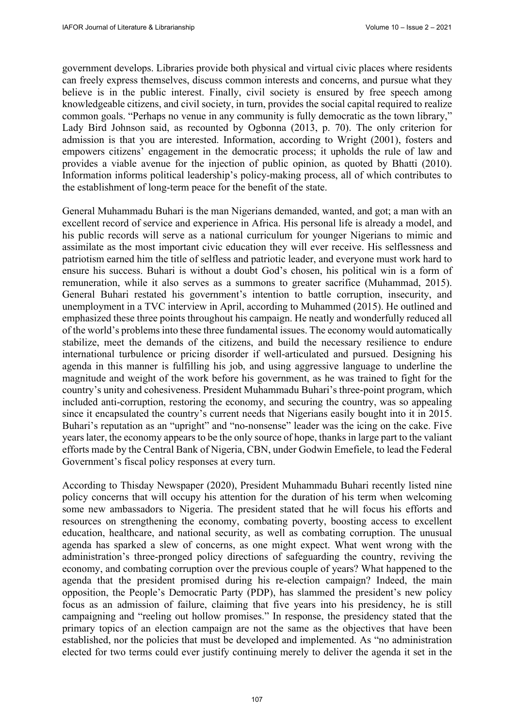government develops. Libraries provide both physical and virtual civic places where residents can freely express themselves, discuss common interests and concerns, and pursue what they believe is in the public interest. Finally, civil society is ensured by free speech among knowledgeable citizens, and civil society, in turn, provides the social capital required to realize common goals. "Perhaps no venue in any community is fully democratic as the town library," Lady Bird Johnson said, as recounted by Ogbonna (2013, p. 70). The only criterion for admission is that you are interested. Information, according to Wright (2001), fosters and empowers citizens' engagement in the democratic process; it upholds the rule of law and provides a viable avenue for the injection of public opinion, as quoted by Bhatti (2010). Information informs political leadership's policy-making process, all of which contributes to the establishment of long-term peace for the benefit of the state.

General Muhammadu Buhari is the man Nigerians demanded, wanted, and got; a man with an excellent record of service and experience in Africa. His personal life is already a model, and his public records will serve as a national curriculum for younger Nigerians to mimic and assimilate as the most important civic education they will ever receive. His selflessness and patriotism earned him the title of selfless and patriotic leader, and everyone must work hard to ensure his success. Buhari is without a doubt God's chosen, his political win is a form of remuneration, while it also serves as a summons to greater sacrifice (Muhammad, 2015). General Buhari restated his government's intention to battle corruption, insecurity, and unemployment in a TVC interview in April, according to Muhammed (2015). He outlined and emphasized these three points throughout his campaign. He neatly and wonderfully reduced all of the world's problems into these three fundamental issues. The economy would automatically stabilize, meet the demands of the citizens, and build the necessary resilience to endure international turbulence or pricing disorder if well-articulated and pursued. Designing his agenda in this manner is fulfilling his job, and using aggressive language to underline the magnitude and weight of the work before his government, as he was trained to fight for the country's unity and cohesiveness. President Muhammadu Buhari's three-point program, which included anti-corruption, restoring the economy, and securing the country, was so appealing since it encapsulated the country's current needs that Nigerians easily bought into it in 2015. Buhari's reputation as an "upright" and "no-nonsense" leader was the icing on the cake. Five years later, the economy appears to be the only source of hope, thanks in large part to the valiant efforts made by the Central Bank of Nigeria, CBN, under Godwin Emefiele, to lead the Federal Government's fiscal policy responses at every turn.

According to Thisday Newspaper (2020), President Muhammadu Buhari recently listed nine policy concerns that will occupy his attention for the duration of his term when welcoming some new ambassadors to Nigeria. The president stated that he will focus his efforts and resources on strengthening the economy, combating poverty, boosting access to excellent education, healthcare, and national security, as well as combating corruption. The unusual agenda has sparked a slew of concerns, as one might expect. What went wrong with the administration's three-pronged policy directions of safeguarding the country, reviving the economy, and combating corruption over the previous couple of years? What happened to the agenda that the president promised during his re-election campaign? Indeed, the main opposition, the People's Democratic Party (PDP), has slammed the president's new policy focus as an admission of failure, claiming that five years into his presidency, he is still campaigning and "reeling out hollow promises." In response, the presidency stated that the primary topics of an election campaign are not the same as the objectives that have been established, nor the policies that must be developed and implemented. As "no administration elected for two terms could ever justify continuing merely to deliver the agenda it set in the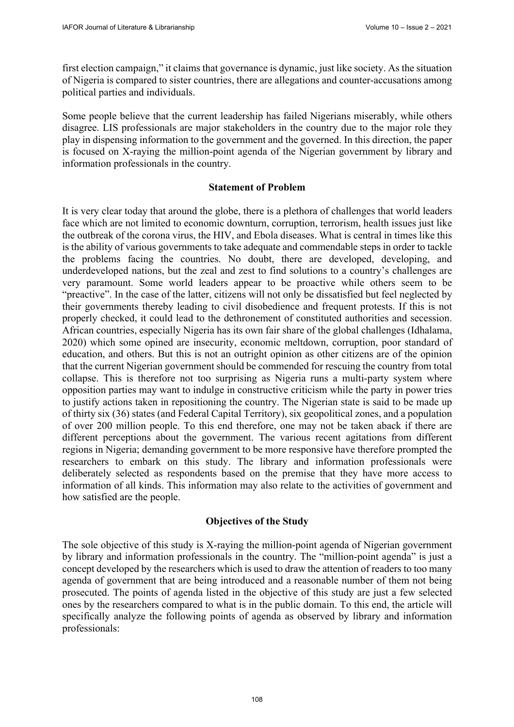first election campaign," it claims that governance is dynamic, just like society. As the situation of Nigeria is compared to sister countries, there are allegations and counter-accusations among political parties and individuals.

Some people believe that the current leadership has failed Nigerians miserably, while others disagree. LIS professionals are major stakeholders in the country due to the major role they play in dispensing information to the government and the governed. In this direction, the paper is focused on X-raying the million-point agenda of the Nigerian government by library and information professionals in the country.

#### **Statement of Problem**

It is very clear today that around the globe, there is a plethora of challenges that world leaders face which are not limited to economic downturn, corruption, terrorism, health issues just like the outbreak of the corona virus, the HIV, and Ebola diseases. What is central in times like this is the ability of various governments to take adequate and commendable steps in order to tackle the problems facing the countries. No doubt, there are developed, developing, and underdeveloped nations, but the zeal and zest to find solutions to a country's challenges are very paramount. Some world leaders appear to be proactive while others seem to be "preactive". In the case of the latter, citizens will not only be dissatisfied but feel neglected by their governments thereby leading to civil disobedience and frequent protests. If this is not properly checked, it could lead to the dethronement of constituted authorities and secession. African countries, especially Nigeria has its own fair share of the global challenges (Idhalama, 2020) which some opined are insecurity, economic meltdown, corruption, poor standard of education, and others. But this is not an outright opinion as other citizens are of the opinion that the current Nigerian government should be commended for rescuing the country from total collapse. This is therefore not too surprising as Nigeria runs a multi-party system where opposition parties may want to indulge in constructive criticism while the party in power tries to justify actions taken in repositioning the country. The Nigerian state is said to be made up of thirty six (36) states (and Federal Capital Territory), six geopolitical zones, and a population of over 200 million people. To this end therefore, one may not be taken aback if there are different perceptions about the government. The various recent agitations from different regions in Nigeria; demanding government to be more responsive have therefore prompted the researchers to embark on this study. The library and information professionals were deliberately selected as respondents based on the premise that they have more access to information of all kinds. This information may also relate to the activities of government and how satisfied are the people.

## **Objectives of the Study**

The sole objective of this study is X-raying the million-point agenda of Nigerian government by library and information professionals in the country. The "million-point agenda" is just a concept developed by the researchers which is used to draw the attention of readers to too many agenda of government that are being introduced and a reasonable number of them not being prosecuted. The points of agenda listed in the objective of this study are just a few selected ones by the researchers compared to what is in the public domain. To this end, the article will specifically analyze the following points of agenda as observed by library and information professionals: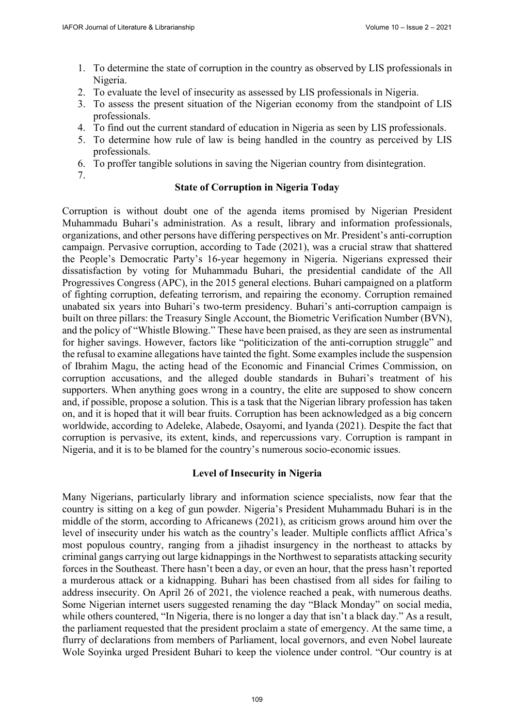- 1. To determine the state of corruption in the country as observed by LIS professionals in Nigeria.
- 2. To evaluate the level of insecurity as assessed by LIS professionals in Nigeria.
- 3. To assess the present situation of the Nigerian economy from the standpoint of LIS professionals.
- 4. To find out the current standard of education in Nigeria as seen by LIS professionals.
- 5. To determine how rule of law is being handled in the country as perceived by LIS professionals.
- 6. To proffer tangible solutions in saving the Nigerian country from disintegration.
- 7.

## **State of Corruption in Nigeria Today**

Corruption is without doubt one of the agenda items promised by Nigerian President Muhammadu Buhari's administration. As a result, library and information professionals, organizations, and other persons have differing perspectives on Mr. President's anti-corruption campaign. Pervasive corruption, according to Tade (2021), was a crucial straw that shattered the People's Democratic Party's 16-year hegemony in Nigeria. Nigerians expressed their dissatisfaction by voting for Muhammadu Buhari, the presidential candidate of the All Progressives Congress (APC), in the 2015 general elections. Buhari campaigned on a platform of fighting corruption, defeating terrorism, and repairing the economy. Corruption remained unabated six years into Buhari's two-term presidency. Buhari's anti-corruption campaign is built on three pillars: the Treasury Single Account, the Biometric Verification Number (BVN), and the policy of "Whistle Blowing." These have been praised, as they are seen as instrumental for higher savings. However, factors like "politicization of the anti-corruption struggle" and the refusal to examine allegations have tainted the fight. Some examples include the suspension of Ibrahim Magu, the acting head of the Economic and Financial Crimes Commission, on corruption accusations, and the alleged double standards in Buhari's treatment of his supporters. When anything goes wrong in a country, the elite are supposed to show concern and, if possible, propose a solution. This is a task that the Nigerian library profession has taken on, and it is hoped that it will bear fruits. Corruption has been acknowledged as a big concern worldwide, according to Adeleke, Alabede, Osayomi, and Iyanda (2021). Despite the fact that corruption is pervasive, its extent, kinds, and repercussions vary. Corruption is rampant in Nigeria, and it is to be blamed for the country's numerous socio-economic issues.

### **Level of Insecurity in Nigeria**

Many Nigerians, particularly library and information science specialists, now fear that the country is sitting on a keg of gun powder. Nigeria's President Muhammadu Buhari is in the middle of the storm, according to Africanews (2021), as criticism grows around him over the level of insecurity under his watch as the country's leader. Multiple conflicts afflict Africa's most populous country, ranging from a jihadist insurgency in the northeast to attacks by criminal gangs carrying out large kidnappings in the Northwest to separatists attacking security forces in the Southeast. There hasn't been a day, or even an hour, that the press hasn't reported a murderous attack or a kidnapping. Buhari has been chastised from all sides for failing to address insecurity. On April 26 of 2021, the violence reached a peak, with numerous deaths. Some Nigerian internet users suggested renaming the day "Black Monday" on social media, while others countered, "In Nigeria, there is no longer a day that isn't a black day." As a result, the parliament requested that the president proclaim a state of emergency. At the same time, a flurry of declarations from members of Parliament, local governors, and even Nobel laureate Wole Soyinka urged President Buhari to keep the violence under control. "Our country is at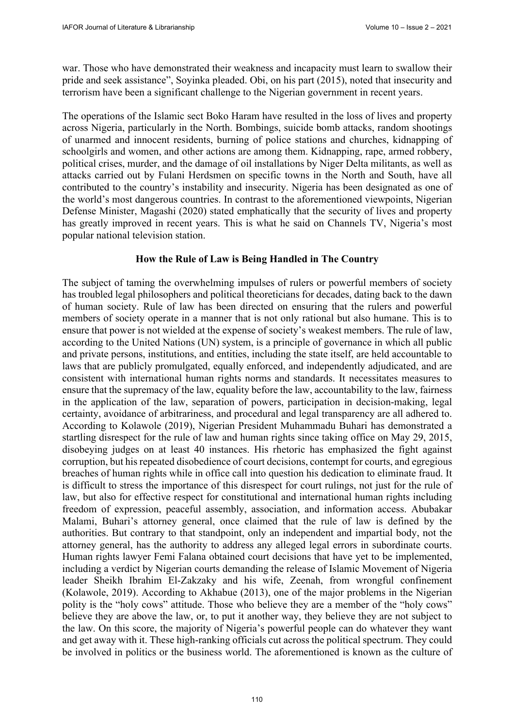war. Those who have demonstrated their weakness and incapacity must learn to swallow their pride and seek assistance", Soyinka pleaded. Obi, on his part (2015), noted that insecurity and terrorism have been a significant challenge to the Nigerian government in recent years.

The operations of the Islamic sect Boko Haram have resulted in the loss of lives and property across Nigeria, particularly in the North. Bombings, suicide bomb attacks, random shootings of unarmed and innocent residents, burning of police stations and churches, kidnapping of schoolgirls and women, and other actions are among them. Kidnapping, rape, armed robbery, political crises, murder, and the damage of oil installations by Niger Delta militants, as well as attacks carried out by Fulani Herdsmen on specific towns in the North and South, have all contributed to the country's instability and insecurity. Nigeria has been designated as one of the world's most dangerous countries. In contrast to the aforementioned viewpoints, Nigerian Defense Minister, Magashi (2020) stated emphatically that the security of lives and property has greatly improved in recent years. This is what he said on Channels TV, Nigeria's most popular national television station.

### **How the Rule of Law is Being Handled in The Country**

The subject of taming the overwhelming impulses of rulers or powerful members of society has troubled legal philosophers and political theoreticians for decades, dating back to the dawn of human society. Rule of law has been directed on ensuring that the rulers and powerful members of society operate in a manner that is not only rational but also humane. This is to ensure that power is not wielded at the expense of society's weakest members. The rule of law, according to the United Nations (UN) system, is a principle of governance in which all public and private persons, institutions, and entities, including the state itself, are held accountable to laws that are publicly promulgated, equally enforced, and independently adjudicated, and are consistent with international human rights norms and standards. It necessitates measures to ensure that the supremacy of the law, equality before the law, accountability to the law, fairness in the application of the law, separation of powers, participation in decision-making, legal certainty, avoidance of arbitrariness, and procedural and legal transparency are all adhered to. According to Kolawole (2019), Nigerian President Muhammadu Buhari has demonstrated a startling disrespect for the rule of law and human rights since taking office on May 29, 2015, disobeying judges on at least 40 instances. His rhetoric has emphasized the fight against corruption, but his repeated disobedience of court decisions, contempt for courts, and egregious breaches of human rights while in office call into question his dedication to eliminate fraud. It is difficult to stress the importance of this disrespect for court rulings, not just for the rule of law, but also for effective respect for constitutional and international human rights including freedom of expression, peaceful assembly, association, and information access. Abubakar Malami, Buhari's attorney general, once claimed that the rule of law is defined by the authorities. But contrary to that standpoint, only an independent and impartial body, not the attorney general, has the authority to address any alleged legal errors in subordinate courts. Human rights lawyer Femi Falana obtained court decisions that have yet to be implemented, including a verdict by Nigerian courts demanding the release of Islamic Movement of Nigeria leader Sheikh Ibrahim El-Zakzaky and his wife, Zeenah, from wrongful confinement (Kolawole, 2019). According to Akhabue (2013), one of the major problems in the Nigerian polity is the "holy cows" attitude. Those who believe they are a member of the "holy cows" believe they are above the law, or, to put it another way, they believe they are not subject to the law. On this score, the majority of Nigeria's powerful people can do whatever they want and get away with it. These high-ranking officials cut across the political spectrum. They could be involved in politics or the business world. The aforementioned is known as the culture of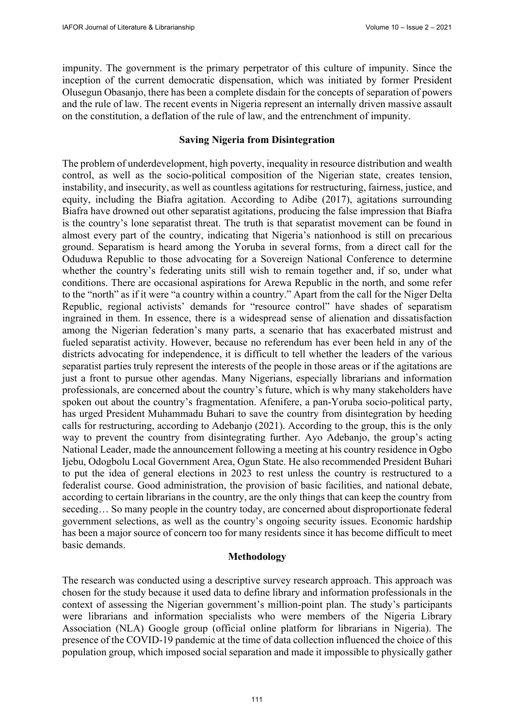impunity. The government is the primary perpetrator of this culture of impunity. Since the inception of the current democratic dispensation, which was initiated by former President Olusegun Obasanjo, there has been a complete disdain for the concepts of separation of powers and the rule of law. The recent events in Nigeria represent an internally driven massive assault on the constitution, a deflation of the rule of law, and the entrenchment of impunity.

## **Saving Nigeria from Disintegration**

The problem of underdevelopment, high poverty, inequality in resource distribution and wealth control, as well as the socio-political composition of the Nigerian state, creates tension, instability, and insecurity, as well as countless agitations for restructuring, fairness, justice, and equity, including the Biafra agitation. According to Adibe (2017), agitations surrounding Biafra have drowned out other separatist agitations, producing the false impression that Biafra is the country's lone separatist threat. The truth is that separatist movement can be found in almost every part of the country, indicating that Nigeria's nationhood is still on precarious ground. Separatism is heard among the Yoruba in several forms, from a direct call for the Oduduwa Republic to those advocating for a Sovereign National Conference to determine whether the country's federating units still wish to remain together and, if so, under what conditions. There are occasional aspirations for Arewa Republic in the north, and some refer to the "north" as if it were "a country within a country." Apart from the call for the Niger Delta Republic, regional activists' demands for "resource control" have shades of separatism ingrained in them. In essence, there is a widespread sense of alienation and dissatisfaction among the Nigerian federation's many parts, a scenario that has exacerbated mistrust and fueled separatist activity. However, because no referendum has ever been held in any of the districts advocating for independence, it is difficult to tell whether the leaders of the various separatist parties truly represent the interests of the people in those areas or if the agitations are just a front to pursue other agendas. Many Nigerians, especially librarians and information professionals, are concerned about the country's future, which is why many stakeholders have spoken out about the country's fragmentation. Afenifere, a pan-Yoruba socio-political party, has urged President Muhammadu Buhari to save the country from disintegration by heeding calls for restructuring, according to Adebanjo (2021). According to the group, this is the only way to prevent the country from disintegrating further. Ayo Adebanjo, the group's acting National Leader, made the announcement following a meeting at his country residence in Ogbo Ijebu, Odogbolu Local Government Area, Ogun State. He also recommended President Buhari to put the idea of general elections in 2023 to rest unless the country is restructured to a federalist course. Good administration, the provision of basic facilities, and national debate, according to certain librarians in the country, are the only things that can keep the country from seceding… So many people in the country today, are concerned about disproportionate federal government selections, as well as the country's ongoing security issues. Economic hardship has been a major source of concern too for many residents since it has become difficult to meet basic demands.

### **Methodology**

The research was conducted using a descriptive survey research approach. This approach was chosen for the study because it used data to define library and information professionals in the context of assessing the Nigerian government's million-point plan. The study's participants were librarians and information specialists who were members of the Nigeria Library Association (NLA) Google group (official online platform for librarians in Nigeria). The presence of the COVID-19 pandemic at the time of data collection influenced the choice of this population group, which imposed social separation and made it impossible to physically gather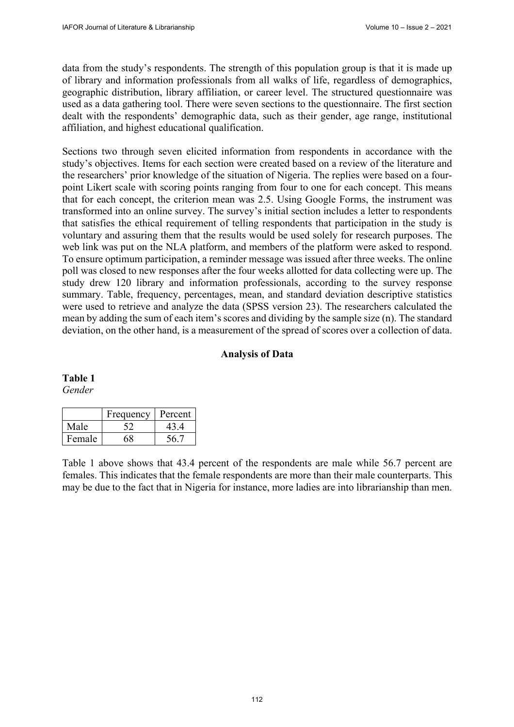data from the study's respondents. The strength of this population group is that it is made up of library and information professionals from all walks of life, regardless of demographics, geographic distribution, library affiliation, or career level. The structured questionnaire was used as a data gathering tool. There were seven sections to the questionnaire. The first section dealt with the respondents' demographic data, such as their gender, age range, institutional affiliation, and highest educational qualification.

Sections two through seven elicited information from respondents in accordance with the study's objectives. Items for each section were created based on a review of the literature and the researchers' prior knowledge of the situation of Nigeria. The replies were based on a fourpoint Likert scale with scoring points ranging from four to one for each concept. This means that for each concept, the criterion mean was 2.5. Using Google Forms, the instrument was transformed into an online survey. The survey's initial section includes a letter to respondents that satisfies the ethical requirement of telling respondents that participation in the study is voluntary and assuring them that the results would be used solely for research purposes. The web link was put on the NLA platform, and members of the platform were asked to respond. To ensure optimum participation, a reminder message was issued after three weeks. The online poll was closed to new responses after the four weeks allotted for data collecting were up. The study drew 120 library and information professionals, according to the survey response summary. Table, frequency, percentages, mean, and standard deviation descriptive statistics were used to retrieve and analyze the data (SPSS version 23). The researchers calculated the mean by adding the sum of each item's scores and dividing by the sample size (n). The standard deviation, on the other hand, is a measurement of the spread of scores over a collection of data.

## **Analysis of Data**

## **Table 1**

*Gender* 

|        | Frequency | Percent |
|--------|-----------|---------|
| Male   |           | 43      |
| Female |           |         |

Table 1 above shows that 43.4 percent of the respondents are male while 56.7 percent are females. This indicates that the female respondents are more than their male counterparts. This may be due to the fact that in Nigeria for instance, more ladies are into librarianship than men.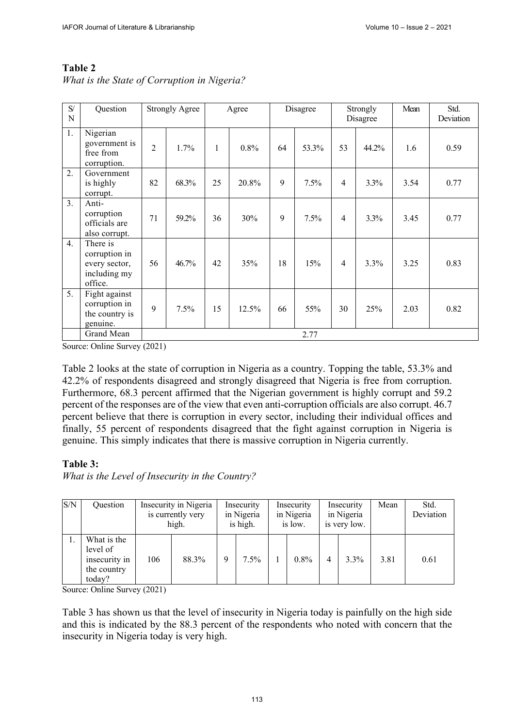*What is the State of Corruption in Nigeria?*

| S/<br>N          | Question                                                              |                | <b>Strongly Agree</b> |    | Agree |    | Disagree  |           | Strongly<br>Disagree | Mean | Std.<br>Deviation |  |  |
|------------------|-----------------------------------------------------------------------|----------------|-----------------------|----|-------|----|-----------|-----------|----------------------|------|-------------------|--|--|
| 1.               | Nigerian<br>government is<br>free from<br>corruption.                 | $\overline{2}$ | 1.7%                  | 1  | 0.8%  | 64 | 53.3%     | 53        | 44.2%                | 1.6  | 0.59              |  |  |
| $\overline{2}$ . | Government<br>is highly<br>corrupt.                                   | 82             | 68.3%                 | 25 | 20.8% |    | 7.5%      | 4         | 3.3%                 | 3.54 | 0.77              |  |  |
| 3.               | Anti-<br>corruption<br>officials are<br>also corrupt.                 | 71             | 59.2%                 | 36 | 30%   | 9  | 7.5%      | 3.3%<br>4 |                      | 3.45 | 0.77              |  |  |
| 4.               | There is<br>corruption in<br>every sector,<br>including my<br>office. | 56             | 46.7%                 | 42 | 35%   |    | 18<br>15% |           | 3.3%                 | 3.25 | 0.83              |  |  |
| 5.               | Fight against<br>corruption in<br>the country is<br>genuine.          | 9              | 7.5%                  | 15 | 12.5% |    | 66<br>55% |           | 25%                  | 2.03 | 0.82              |  |  |
|                  | Grand Mean                                                            |                | 2.77                  |    |       |    |           |           |                      |      |                   |  |  |

Source: Online Survey (2021)

Table 2 looks at the state of corruption in Nigeria as a country. Topping the table, 53.3% and 42.2% of respondents disagreed and strongly disagreed that Nigeria is free from corruption. Furthermore, 68.3 percent affirmed that the Nigerian government is highly corrupt and 59.2 percent of the responses are of the view that even anti-corruption officials are also corrupt. 46.7 percent believe that there is corruption in every sector, including their individual offices and finally, 55 percent of respondents disagreed that the fight against corruption in Nigeria is genuine. This simply indicates that there is massive corruption in Nigeria currently.

## **Table 3:**

*What is the Level of Insecurity in the Country?*

| S/N | Question                                                          |     | Insecurity in Nigeria<br>is currently very<br>high. |   | Insecurity<br>in Nigeria<br>is high. |         | Insecurity<br>in Nigeria<br>is low. |   | Insecurity<br>in Nigeria<br>is very low. | Mean | Std.<br>Deviation |
|-----|-------------------------------------------------------------------|-----|-----------------------------------------------------|---|--------------------------------------|---------|-------------------------------------|---|------------------------------------------|------|-------------------|
|     | What is the<br>level of<br>insecurity in<br>the country<br>today? | 106 | 88.3%                                               | 9 | 7.5%                                 | $0.8\%$ |                                     | 4 | 3.3%                                     | 3.81 | 0.61              |

Source: Online Survey (2021)

Table 3 has shown us that the level of insecurity in Nigeria today is painfully on the high side and this is indicated by the 88.3 percent of the respondents who noted with concern that the insecurity in Nigeria today is very high.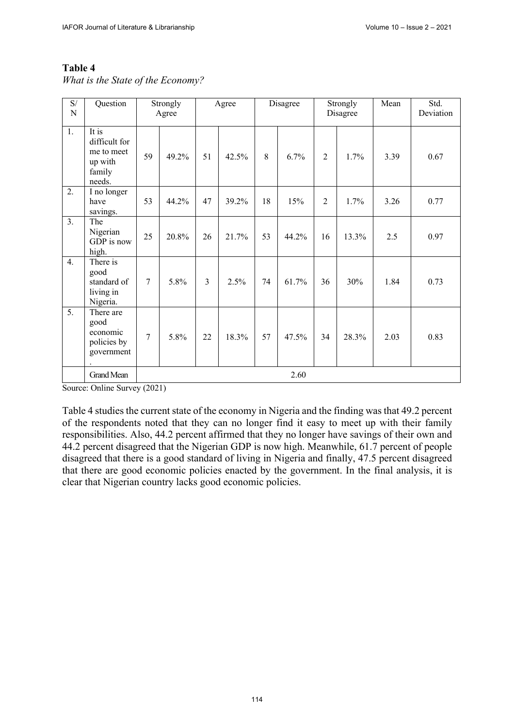*What is the State of the Economy?*

| S/<br>N          | Question                                                            |    | Strongly<br>Agree |                | Agree |    | Disagree  |                | Strongly<br>Disagree | Mean | Std.<br>Deviation |  |  |
|------------------|---------------------------------------------------------------------|----|-------------------|----------------|-------|----|-----------|----------------|----------------------|------|-------------------|--|--|
| 1.               | It is<br>difficult for<br>me to meet<br>up with<br>family<br>needs. | 59 | 49.2%             | 51             | 42.5% | 8  | 6.7%      | $\overline{2}$ | 1.7%                 | 3.39 | 0.67              |  |  |
| $\overline{2}$ . | I no longer<br>have<br>savings.                                     | 53 | 44.2%             | 47             | 39.2% |    | 18<br>15% |                | 1.7%                 | 3.26 | 0.77              |  |  |
| 3.               | The<br>Nigerian<br>GDP is now<br>high.                              | 25 | 20.8%             | 26             | 21.7% | 53 | 44.2%     | 16             | $13.3\%$             | 2.5  | 0.97              |  |  |
| 4.               | There is<br>good<br>standard of<br>living in<br>Nigeria.            | 7  | 5.8%              | $\overline{3}$ | 2.5%  | 74 | 61.7%     | 36             | 30%                  | 1.84 | 0.73              |  |  |
| 5.               | There are<br>good<br>economic<br>policies by<br>government          | 7  | 5.8%              | 22             | 18.3% | 57 | 47.5%     | 34             | 28.3%                | 2.03 | 0.83              |  |  |
|                  | <b>Grand Mean</b>                                                   |    | 2.60              |                |       |    |           |                |                      |      |                   |  |  |

Source: Online Survey (2021)

Table 4 studies the current state of the economy in Nigeria and the finding was that 49.2 percent of the respondents noted that they can no longer find it easy to meet up with their family responsibilities. Also, 44.2 percent affirmed that they no longer have savings of their own and 44.2 percent disagreed that the Nigerian GDP is now high. Meanwhile, 61.7 percent of people disagreed that there is a good standard of living in Nigeria and finally, 47.5 percent disagreed that there are good economic policies enacted by the government. In the final analysis, it is clear that Nigerian country lacks good economic policies.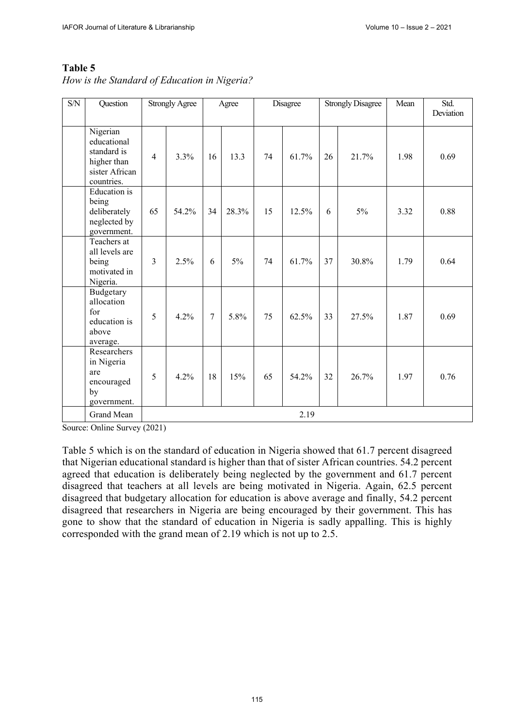*How is the Standard of Education in Nigeria?* 

| S/N | Question                                                                                      |                            | <b>Strongly Agree</b> | Agree          |       |       | Disagree |      | <b>Strongly Disagree</b> | Mean | Std.<br>Deviation |  |
|-----|-----------------------------------------------------------------------------------------------|----------------------------|-----------------------|----------------|-------|-------|----------|------|--------------------------|------|-------------------|--|
|     | Nigerian<br>educational<br>standard is<br>higher than<br>sister African<br>countries.         | $\overline{4}$             | 3.3%                  | 16             | 13.3  | 74    | 61.7%    | 26   | 21.7%                    | 1.98 | 0.69              |  |
|     | <b>Education</b> is<br>being<br>deliberately<br>neglected by<br>government.                   | 65<br>54.2%<br>28.3%<br>34 |                       | 15             | 12.5% | 6     | 5%       | 3.32 | 0.88                     |      |                   |  |
|     | Teachers at<br>all levels are<br>being<br>motivated in<br>Nigeria.                            | $\overline{3}$             | 2.5%                  | 6              | 5%    | 74    | 61.7%    | 37   | 30.8%                    | 1.79 | 0.64              |  |
|     | Budgetary<br>allocation<br>for<br>education is<br>above<br>average.                           | 5                          | 4.2%                  | $\overline{7}$ | 5.8%  | 75    | 62.5%    | 33   | 27.5%                    | 1.87 | 0.69              |  |
|     | Researchers<br>in Nigeria<br>are<br>4.2%<br>18<br>15%<br>5<br>encouraged<br>by<br>government. |                            | 65                    | 54.2%          | 32    | 26.7% | 1.97     | 0.76 |                          |      |                   |  |
|     | <b>Grand Mean</b>                                                                             |                            |                       |                |       |       | 2.19     |      |                          |      |                   |  |

Source: Online Survey (2021)

Table 5 which is on the standard of education in Nigeria showed that 61.7 percent disagreed that Nigerian educational standard is higher than that of sister African countries. 54.2 percent agreed that education is deliberately being neglected by the government and 61.7 percent disagreed that teachers at all levels are being motivated in Nigeria. Again, 62.5 percent disagreed that budgetary allocation for education is above average and finally, 54.2 percent disagreed that researchers in Nigeria are being encouraged by their government. This has gone to show that the standard of education in Nigeria is sadly appalling. This is highly corresponded with the grand mean of 2.19 which is not up to 2.5.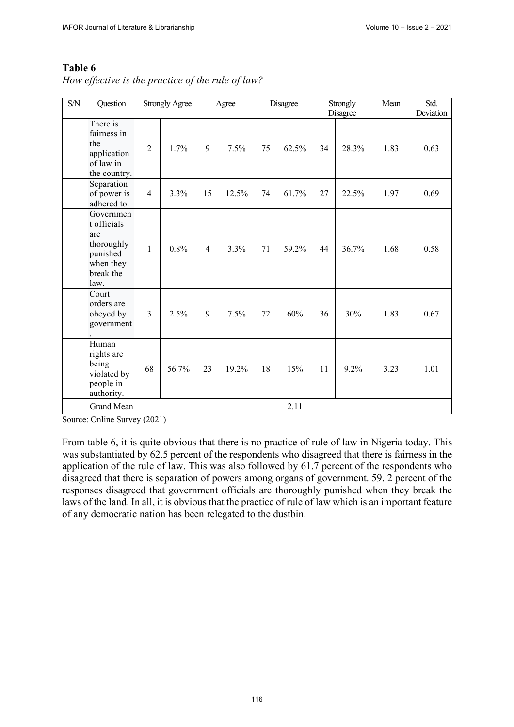| S/N | Question                                                                                    |                | <b>Strongly Agree</b> |                | Agree |    | Disagree |      | Strongly<br>Disagree | Mean | Std.<br>Deviation |
|-----|---------------------------------------------------------------------------------------------|----------------|-----------------------|----------------|-------|----|----------|------|----------------------|------|-------------------|
|     | There is<br>fairness in<br>the<br>application<br>of law in<br>the country.                  | $\overline{2}$ | 1.7%                  | 9              | 7.5%  | 75 | 62.5%    | 34   | 28.3%                | 1.83 | 0.63              |
|     | Separation<br>of power is<br>adhered to.                                                    | $\overline{4}$ | 3.3%                  | 15             | 12.5% | 74 | 61.7%    | 27   | 22.5%                | 1.97 | 0.69              |
|     | Governmen<br>t officials<br>are<br>thoroughly<br>punished<br>when they<br>break the<br>law. | $\mathbf{1}$   | 0.8%                  | $\overline{4}$ | 3.3%  | 71 | 59.2%    | 44   | 36.7%                | 1.68 | 0.58              |
|     | Court<br>orders are<br>$\overline{3}$<br>2.5%<br>9<br>obeyed by<br>government               |                | 7.5%                  | 72             | 60%   | 36 | 30%      | 1.83 | 0.67                 |      |                   |
|     | Human<br>rights are<br>being<br>violated by<br>people in<br>authority.                      | 68             | 56.7%                 | 23             | 19.2% | 18 | 15%      | 11   | 9.2%                 | 3.23 | 1.01              |
|     | Grand Mean                                                                                  |                |                       |                |       |    | 2.11     |      |                      |      |                   |

*How effective is the practice of the rule of law?* 

Source: Online Survey (2021)

From table 6, it is quite obvious that there is no practice of rule of law in Nigeria today. This was substantiated by 62.5 percent of the respondents who disagreed that there is fairness in the application of the rule of law. This was also followed by 61.7 percent of the respondents who disagreed that there is separation of powers among organs of government. 59. 2 percent of the responses disagreed that government officials are thoroughly punished when they break the laws of the land. In all, it is obvious that the practice of rule of law which is an important feature of any democratic nation has been relegated to the dustbin.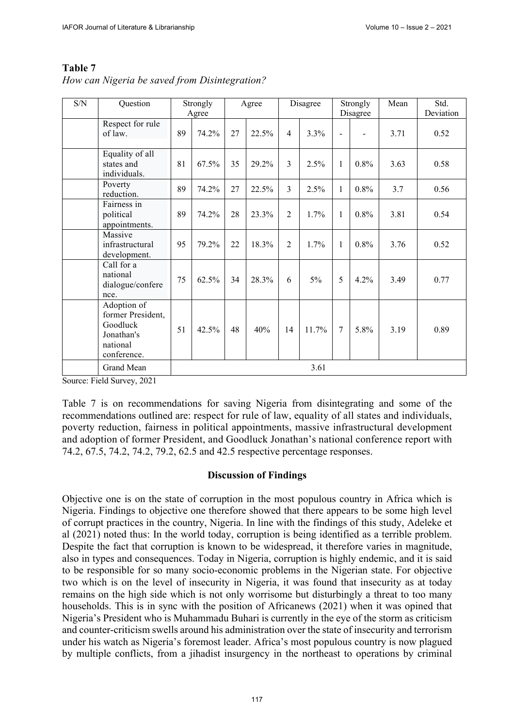| S/N | Question                                                                              |    | Strongly<br>Agree | Agree |       | Disagree       |       | Strongly<br>Disagree |         | Mean | Std.<br>Deviation |
|-----|---------------------------------------------------------------------------------------|----|-------------------|-------|-------|----------------|-------|----------------------|---------|------|-------------------|
|     | Respect for rule<br>of law.                                                           | 89 | 74.2%             | 27    | 22.5% | 4              | 3.3%  | $\overline{a}$       |         | 3.71 | 0.52              |
|     | Equality of all<br>states and<br>individuals.                                         | 81 | 67.5%             | 35    | 29.2% | 3              | 2.5%  | $\mathbf{1}$         | 0.8%    | 3.63 | 0.58              |
|     | Poverty<br>reduction.                                                                 | 89 | 74.2%             | 27    | 22.5% | 3              | 2.5%  | $\mathbf{1}$         | 0.8%    | 3.7  | 0.56              |
|     | Fairness in<br>political<br>appointments.                                             | 89 | 74.2%             | 28    | 23.3% | $\overline{2}$ | 1.7%  | $\mathbf{1}$         | 0.8%    | 3.81 | 0.54              |
|     | Massive<br>infrastructural<br>development.                                            | 95 | 79.2%             | 22    | 18.3% | $\overline{2}$ | 1.7%  | 1                    | $0.8\%$ | 3.76 | 0.52              |
|     | Call for a<br>national<br>dialogue/confere<br>nce.                                    | 75 | 62.5%             | 34    | 28.3% | 6              | 5%    | 5                    | 4.2%    | 3.49 | 0.77              |
|     | Adoption of<br>former President,<br>Goodluck<br>Jonathan's<br>national<br>conference. | 51 | 42.5%             | 48    | 40%   | 14             | 11.7% | $\overline{7}$       | 5.8%    | 3.19 | 0.89              |
|     | Grand Mean                                                                            |    |                   |       |       |                | 3.61  |                      |         |      |                   |

*How can Nigeria be saved from Disintegration?*

Source: Field Survey, 2021

Table 7 is on recommendations for saving Nigeria from disintegrating and some of the recommendations outlined are: respect for rule of law, equality of all states and individuals, poverty reduction, fairness in political appointments, massive infrastructural development and adoption of former President, and Goodluck Jonathan's national conference report with 74.2, 67.5, 74.2, 74.2, 79.2, 62.5 and 42.5 respective percentage responses.

## **Discussion of Findings**

Objective one is on the state of corruption in the most populous country in Africa which is Nigeria. Findings to objective one therefore showed that there appears to be some high level of corrupt practices in the country, Nigeria. In line with the findings of this study, Adeleke et al (2021) noted thus: In the world today, corruption is being identified as a terrible problem. Despite the fact that corruption is known to be widespread, it therefore varies in magnitude, also in types and consequences. Today in Nigeria, corruption is highly endemic, and it is said to be responsible for so many socio-economic problems in the Nigerian state. For objective two which is on the level of insecurity in Nigeria, it was found that insecurity as at today remains on the high side which is not only worrisome but disturbingly a threat to too many households. This is in sync with the position of Africanews (2021) when it was opined that Nigeria's President who is Muhammadu Buhari is currently in the eye of the storm as criticism and counter-criticism swells around his administration over the state of insecurity and terrorism under his watch as Nigeria's foremost leader. Africa's most populous country is now plagued by multiple conflicts, from a jihadist insurgency in the northeast to operations by criminal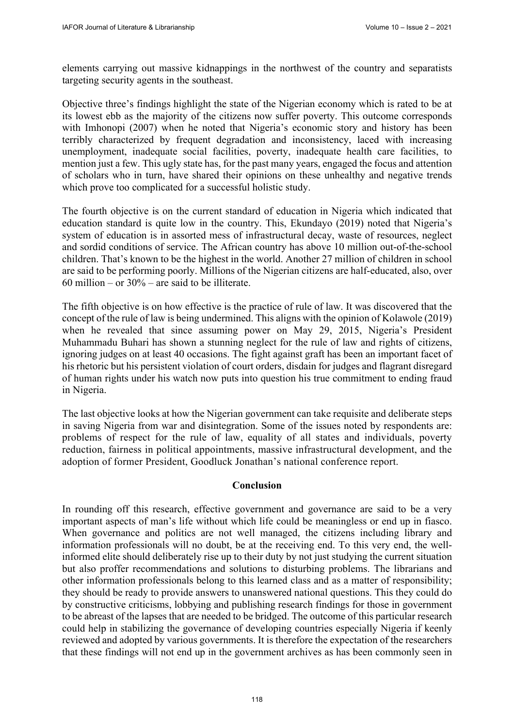elements carrying out massive kidnappings in the northwest of the country and separatists targeting security agents in the southeast.

Objective three's findings highlight the state of the Nigerian economy which is rated to be at its lowest ebb as the majority of the citizens now suffer poverty. This outcome corresponds with Imhonopi (2007) when he noted that Nigeria's economic story and history has been terribly characterized by frequent degradation and inconsistency, laced with increasing unemployment, inadequate social facilities, poverty, inadequate health care facilities, to mention just a few. This ugly state has, for the past many years, engaged the focus and attention of scholars who in turn, have shared their opinions on these unhealthy and negative trends which prove too complicated for a successful holistic study.

The fourth objective is on the current standard of education in Nigeria which indicated that education standard is quite low in the country. This, Ekundayo (2019) noted that Nigeria's system of education is in assorted mess of infrastructural decay, waste of resources, neglect and sordid conditions of service. The African country has above 10 million out-of-the-school children. That's known to be the highest in the world. Another 27 million of children in school are said to be performing poorly. Millions of the Nigerian citizens are half-educated, also, over 60 million – or  $30\%$  – are said to be illiterate.

The fifth objective is on how effective is the practice of rule of law. It was discovered that the concept of the rule of law is being undermined. This aligns with the opinion of Kolawole (2019) when he revealed that since assuming power on May 29, 2015, Nigeria's President Muhammadu Buhari has shown a stunning neglect for the rule of law and rights of citizens, ignoring judges on at least 40 occasions. The fight against graft has been an important facet of his rhetoric but his persistent violation of court orders, disdain for judges and flagrant disregard of human rights under his watch now puts into question his true commitment to ending fraud in Nigeria.

The last objective looks at how the Nigerian government can take requisite and deliberate steps in saving Nigeria from war and disintegration. Some of the issues noted by respondents are: problems of respect for the rule of law, equality of all states and individuals, poverty reduction, fairness in political appointments, massive infrastructural development, and the adoption of former President, Goodluck Jonathan's national conference report.

### **Conclusion**

In rounding off this research, effective government and governance are said to be a very important aspects of man's life without which life could be meaningless or end up in fiasco. When governance and politics are not well managed, the citizens including library and information professionals will no doubt, be at the receiving end. To this very end, the wellinformed elite should deliberately rise up to their duty by not just studying the current situation but also proffer recommendations and solutions to disturbing problems. The librarians and other information professionals belong to this learned class and as a matter of responsibility; they should be ready to provide answers to unanswered national questions. This they could do by constructive criticisms, lobbying and publishing research findings for those in government to be abreast of the lapses that are needed to be bridged. The outcome of this particular research could help in stabilizing the governance of developing countries especially Nigeria if keenly reviewed and adopted by various governments. It is therefore the expectation of the researchers that these findings will not end up in the government archives as has been commonly seen in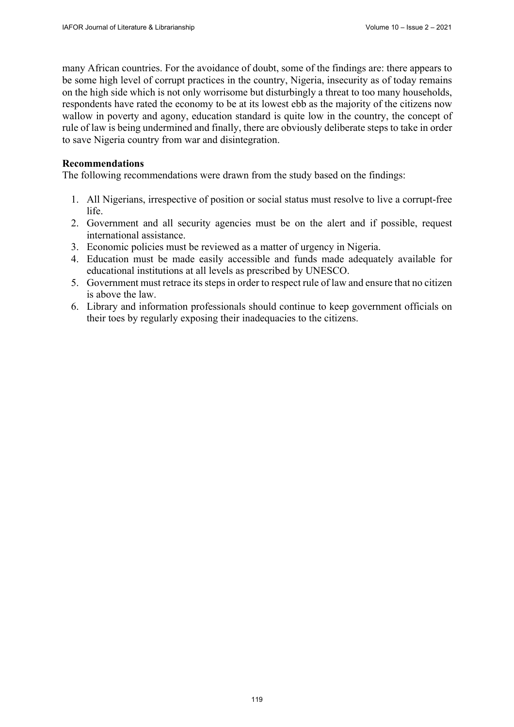many African countries. For the avoidance of doubt, some of the findings are: there appears to be some high level of corrupt practices in the country, Nigeria, insecurity as of today remains on the high side which is not only worrisome but disturbingly a threat to too many households, respondents have rated the economy to be at its lowest ebb as the majority of the citizens now wallow in poverty and agony, education standard is quite low in the country, the concept of rule of law is being undermined and finally, there are obviously deliberate steps to take in order to save Nigeria country from war and disintegration.

## **Recommendations**

The following recommendations were drawn from the study based on the findings:

- 1. All Nigerians, irrespective of position or social status must resolve to live a corrupt-free life.
- 2. Government and all security agencies must be on the alert and if possible, request international assistance.
- 3. Economic policies must be reviewed as a matter of urgency in Nigeria.
- 4. Education must be made easily accessible and funds made adequately available for educational institutions at all levels as prescribed by UNESCO.
- 5. Government must retrace its steps in order to respect rule of law and ensure that no citizen is above the law.
- 6. Library and information professionals should continue to keep government officials on their toes by regularly exposing their inadequacies to the citizens.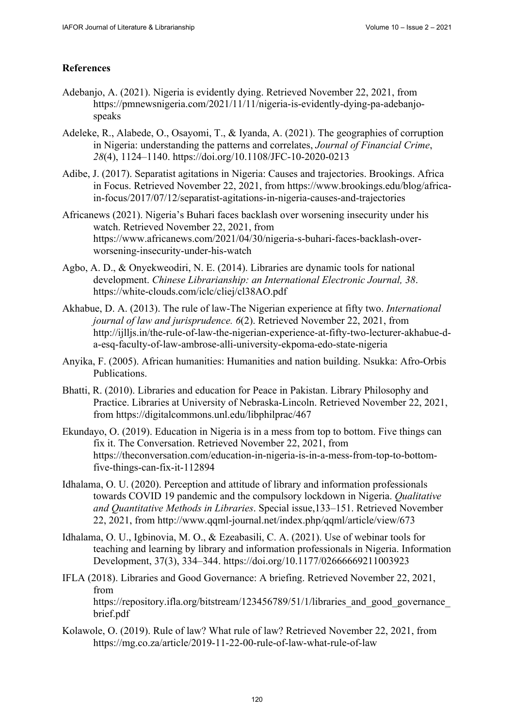# **References**

- Adebanjo, A. (2021). Nigeria is evidently dying. Retrieved November 22, 2021, from [https://pmnewsnigeria.com/2021/11/11/nigeria-is-evidently-dying-pa-adebanjo](https://pmnewsnigeria.com/2021/11/11/nigeria-is-evidently-dying-pa-adebanjo-speaksAdeleke)speaks
- [Adeleke, R.](https://pmnewsnigeria.com/2021/11/11/nigeria-is-evidently-dying-pa-adebanjo-speaksAdeleke), Alabede, O., Osayomi, T., & Iyanda, A. (2021). The geographies of corruption in Nigeria: understanding the patterns and correlates, *Journal of Financial Crime*, *28*(4), 1124–1140. <https://doi.org/10.1108/JFC-10-2020-0213>
- Adibe, J. (2017). Separatist agitations in Nigeria: Causes and trajectories. Brookings. Africa [in Focus. Retrieved November 22, 2021, from https://www.brookings.edu/blog/africa](https://www.brookings.edu/blog/africa-in-focus/2017/07/12/separatist-agitations-in-nigeria-causes-and-trajectories)in[-focus/2017/07/12/separatist-agitations-in-nigeria-causes-and-trajectories](https://www.brookings.edu/blog/africa-in-focus/2017/07/12/separatist-agitations-in-nigeria-causes-and-trajectories)
- Africanews (2021). Nigeria's Buhari faces backlash over worsening insecurity under his watch. Retrieved November 22, 2021, from [https://www.africanews.com/2021/04/30/nigeria-s-buhari-faces-backlash-over](https://www.africanews.com/2021/04/30/nigeria-s-buhari-faces-backlash-over-worsening-insecurity-under-his-watch)worsening-[insecurity-under-his-watch](https://www.africanews.com/2021/04/30/nigeria-s-buhari-faces-backlash-over-worsening-insecurity-under-his-watch)
- Agbo, A. D., & Onyekweodiri, N. E. (2014). Libraries are dynamic tools for national development. *Chinese Librarianship: an International Electronic Journal, 38*. <https://white-clouds.com/iclc/cliej/cl38AO.pdf>
- Akhabue, D. A. (2013). The rule of law-The Nigerian experience at fifty two. *International journal of law and jurisprudence. 6*(2). Retrieved November 22, 2021, from [http://ijlljs.in/the-rule-of-law-the-nigerian-experience-at-fifty-two-lecturer-akhabue-d](http://ijlljs.in/the-rule-of-law-the-nigerian-experience-at-fifty-two-lecturer-akhabue-d-a-esq-faculty-of-law-ambrose-alli-university-ekpoma-edo-state-nigeria)a[-esq-faculty-of-law-ambrose-alli-university-ekpoma-edo-state-nigeria](http://ijlljs.in/the-rule-of-law-the-nigerian-experience-at-fifty-two-lecturer-akhabue-d-a-esq-faculty-of-law-ambrose-alli-university-ekpoma-edo-state-nigeria)
- Anyika, F. (2005). African humanities: Humanities and nation building. Nsukka: Afro-Orbis Publications.
- Bhatti, R. (2010). Libraries and education for Peace in Pakistan. Library Philosophy and Practice. Libraries at University of Nebraska-Lincoln. Retrieved November 22, 2021, from<https://digitalcommons.unl.edu/libphilprac/467>
- Ekundayo, O. (2019). Education in Nigeria is in a mess from top to bottom. Five things can fix it. The Conversation. Retrieved November 22, 2021, from [https://theconversation.com/education-in-nigeria-is-in-a-mess-from-top-to-bottom](https://theconversation.com/education-in-nigeria-is-in-a-mess-from-top-to-bottom-five-things-can-fix-it-112894)five-[things-can-fix-it-112894](https://theconversation.com/education-in-nigeria-is-in-a-mess-from-top-to-bottom-five-things-can-fix-it-112894)
- Idhalama, O. U. (2020). Perception and attitude of library and information professionals towards COVID 19 pandemic and the compulsory lockdown in Nigeria. *Qualitative and Quantitative Methods in Libraries*. Special issue,133–151. Retrieved November 22, 2021, from<http://www.qqml-journal.net/index.php/qqml/article/view/673>
- Idhalama, O. U., Igbinovia, M. O., & Ezeabasili, C. A. (2021). Use of webinar tools for teaching and learning by library and information professionals in Nigeria. Information Development, 37(3), 334–344. <https://doi.org/10.1177/02666669211003923>
- IFLA (2018). Libraries and Good Governance: A briefing. Retrieved November 22, 2021, from https://repository.ifla.org/bitstream/123456789/51/1/libraries and good governance brief.pdf
- Kolawole, O. (2019). Rule of law? What rule of law? Retrieved November 22, 2021, from <https://mg.co.za/article/2019-11-22-00-rule-of-law-what-rule-of-law>